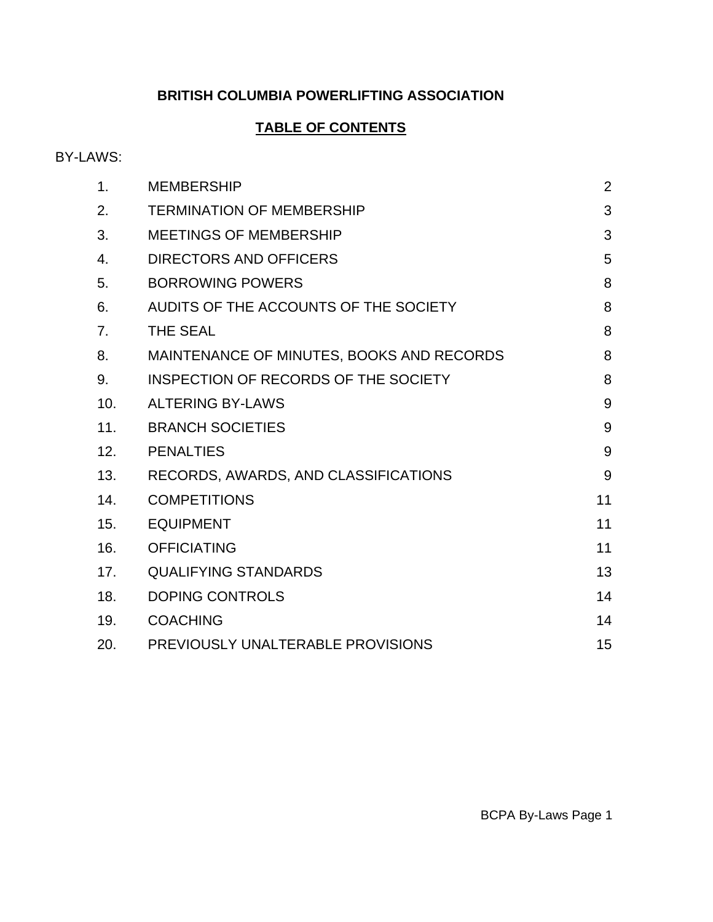# **BRITISH COLUMBIA POWERLIFTING ASSOCIATION**

# **TABLE OF CONTENTS**

# BY-LAWS:

| 1.  | <b>MEMBERSHIP</b>                         | $\overline{2}$ |
|-----|-------------------------------------------|----------------|
| 2.  | <b>TERMINATION OF MEMBERSHIP</b>          | 3              |
| 3.  | <b>MEETINGS OF MEMBERSHIP</b>             | 3              |
| 4.  | <b>DIRECTORS AND OFFICERS</b>             | 5              |
| 5.  | <b>BORROWING POWERS</b>                   | 8              |
| 6.  | AUDITS OF THE ACCOUNTS OF THE SOCIETY     | 8              |
| 7.  | <b>THE SEAL</b>                           | 8              |
| 8.  | MAINTENANCE OF MINUTES, BOOKS AND RECORDS | 8              |
| 9.  | INSPECTION OF RECORDS OF THE SOCIETY      | 8              |
| 10. | <b>ALTERING BY-LAWS</b>                   | 9              |
| 11. | <b>BRANCH SOCIETIES</b>                   | 9              |
| 12. | <b>PENALTIES</b>                          | 9              |
| 13. | RECORDS, AWARDS, AND CLASSIFICATIONS      | 9              |
| 14. | <b>COMPETITIONS</b>                       | 11             |
| 15. | <b>EQUIPMENT</b>                          | 11             |
| 16. | <b>OFFICIATING</b>                        | 11             |
| 17. | <b>QUALIFYING STANDARDS</b>               | 13             |
| 18. | <b>DOPING CONTROLS</b>                    | 14             |
| 19. | <b>COACHING</b>                           | 14             |
| 20. | PREVIOUSLY UNALTERABLE PROVISIONS         | 15             |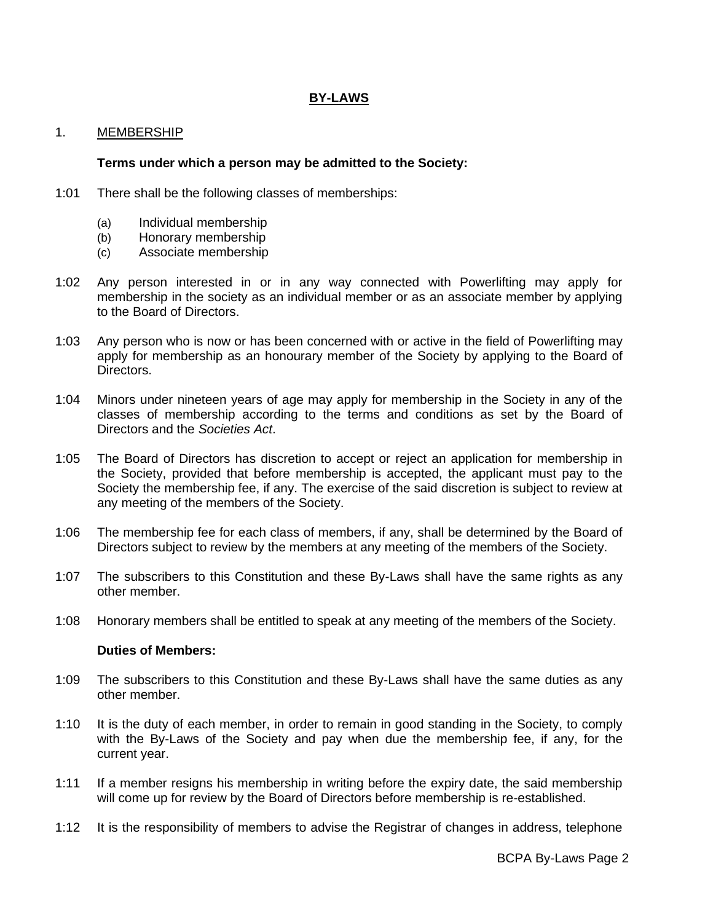# **BY-LAWS**

## 1. MEMBERSHIP

#### **Terms under which a person may be admitted to the Society:**

- 1:01 There shall be the following classes of memberships:
	- (a) Individual membership
	- (b) Honorary membership
	- (c) Associate membership
- 1:02 Any person interested in or in any way connected with Powerlifting may apply for membership in the society as an individual member or as an associate member by applying to the Board of Directors.
- 1:03 Any person who is now or has been concerned with or active in the field of Powerlifting may apply for membership as an honourary member of the Society by applying to the Board of Directors.
- 1:04 Minors under nineteen years of age may apply for membership in the Society in any of the classes of membership according to the terms and conditions as set by the Board of Directors and the *Societies Act*.
- 1:05 The Board of Directors has discretion to accept or reject an application for membership in the Society, provided that before membership is accepted, the applicant must pay to the Society the membership fee, if any. The exercise of the said discretion is subject to review at any meeting of the members of the Society.
- 1:06 The membership fee for each class of members, if any, shall be determined by the Board of Directors subject to review by the members at any meeting of the members of the Society.
- 1:07 The subscribers to this Constitution and these By-Laws shall have the same rights as any other member.
- 1:08 Honorary members shall be entitled to speak at any meeting of the members of the Society.

#### **Duties of Members:**

- 1:09 The subscribers to this Constitution and these By-Laws shall have the same duties as any other member.
- 1:10 It is the duty of each member, in order to remain in good standing in the Society, to comply with the By-Laws of the Society and pay when due the membership fee, if any, for the current year.
- 1:11 If a member resigns his membership in writing before the expiry date, the said membership will come up for review by the Board of Directors before membership is re-established.
- 1:12 It is the responsibility of members to advise the Registrar of changes in address, telephone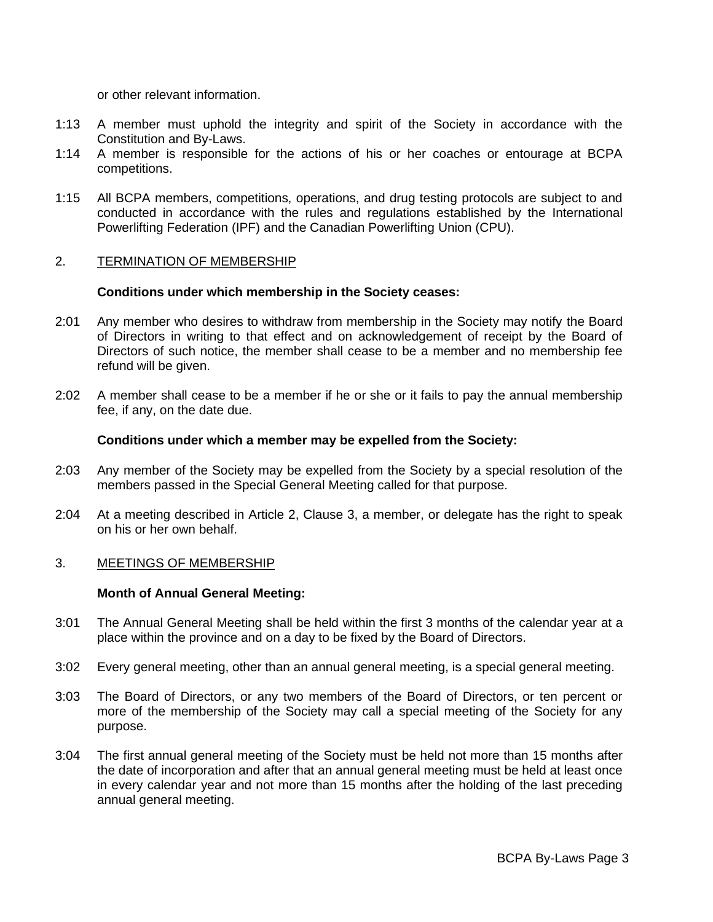or other relevant information.

- 1:13 A member must uphold the integrity and spirit of the Society in accordance with the Constitution and By-Laws.
- 1:14 A member is responsible for the actions of his or her coaches or entourage at BCPA competitions.
- 1:15 All BCPA members, competitions, operations, and drug testing protocols are subject to and conducted in accordance with the rules and regulations established by the International Powerlifting Federation (IPF) and the Canadian Powerlifting Union (CPU).

#### 2. TERMINATION OF MEMBERSHIP

#### **Conditions under which membership in the Society ceases:**

- 2:01 Any member who desires to withdraw from membership in the Society may notify the Board of Directors in writing to that effect and on acknowledgement of receipt by the Board of Directors of such notice, the member shall cease to be a member and no membership fee refund will be given.
- 2:02 A member shall cease to be a member if he or she or it fails to pay the annual membership fee, if any, on the date due.

#### **Conditions under which a member may be expelled from the Society:**

- 2:03 Any member of the Society may be expelled from the Society by a special resolution of the members passed in the Special General Meeting called for that purpose.
- 2:04 At a meeting described in Article 2, Clause 3, a member, or delegate has the right to speak on his or her own behalf.

#### 3. MEETINGS OF MEMBERSHIP

#### **Month of Annual General Meeting:**

- 3:01 The Annual General Meeting shall be held within the first 3 months of the calendar year at a place within the province and on a day to be fixed by the Board of Directors.
- 3:02 Every general meeting, other than an annual general meeting, is a special general meeting.
- 3:03 The Board of Directors, or any two members of the Board of Directors, or ten percent or more of the membership of the Society may call a special meeting of the Society for any purpose.
- 3:04 The first annual general meeting of the Society must be held not more than 15 months after the date of incorporation and after that an annual general meeting must be held at least once in every calendar year and not more than 15 months after the holding of the last preceding annual general meeting.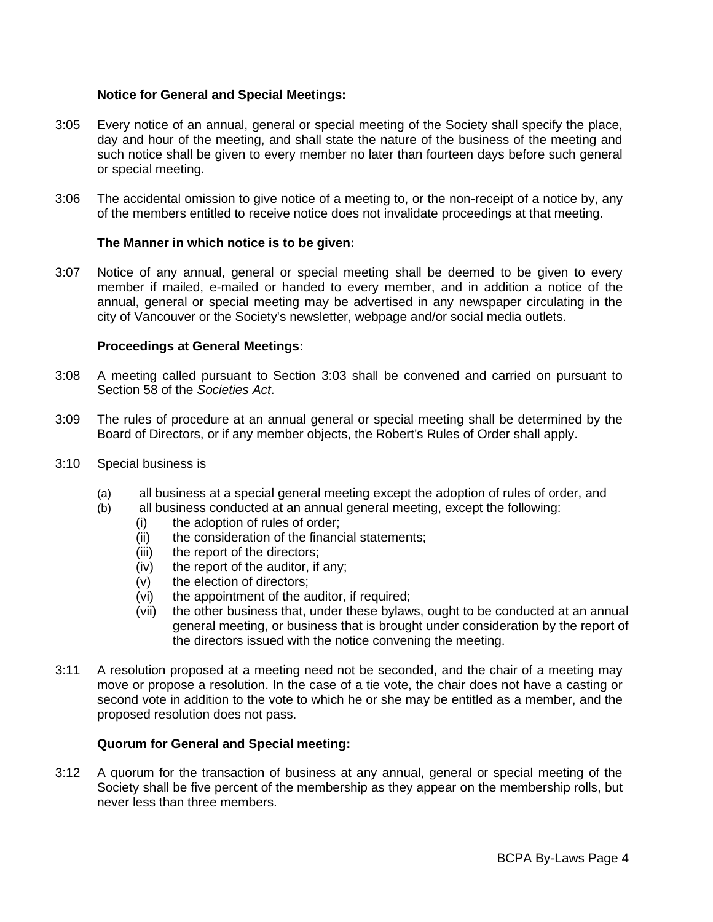# **Notice for General and Special Meetings:**

- 3:05 Every notice of an annual, general or special meeting of the Society shall specify the place, day and hour of the meeting, and shall state the nature of the business of the meeting and such notice shall be given to every member no later than fourteen days before such general or special meeting.
- 3:06 The accidental omission to give notice of a meeting to, or the non-receipt of a notice by, any of the members entitled to receive notice does not invalidate proceedings at that meeting.

## **The Manner in which notice is to be given:**

3:07 Notice of any annual, general or special meeting shall be deemed to be given to every member if mailed, e-mailed or handed to every member, and in addition a notice of the annual, general or special meeting may be advertised in any newspaper circulating in the city of Vancouver or the Society's newsletter, webpage and/or social media outlets.

## **Proceedings at General Meetings:**

- 3:08 A meeting called pursuant to Section 3:03 shall be convened and carried on pursuant to Section 58 of the *Societies Act*.
- 3:09 The rules of procedure at an annual general or special meeting shall be determined by the Board of Directors, or if any member objects, the Robert's Rules of Order shall apply.
- 3:10 Special business is
	- (a) all business at a special general meeting except the adoption of rules of order, and
	- (b) all business conducted at an annual general meeting, except the following:
		- (i) the adoption of rules of order;
		- (ii) the consideration of the financial statements;
		- (iii) the report of the directors;
		- (iv) the report of the auditor, if any;
		- (v) the election of directors;
		- (vi) the appointment of the auditor, if required;
		- (vii) the other business that, under these bylaws, ought to be conducted at an annual general meeting, or business that is brought under consideration by the report of the directors issued with the notice convening the meeting.
- 3:11 A resolution proposed at a meeting need not be seconded, and the chair of a meeting may move or propose a resolution. In the case of a tie vote, the chair does not have a casting or second vote in addition to the vote to which he or she may be entitled as a member, and the proposed resolution does not pass.

# **Quorum for General and Special meeting:**

3:12 A quorum for the transaction of business at any annual, general or special meeting of the Society shall be five percent of the membership as they appear on the membership rolls, but never less than three members.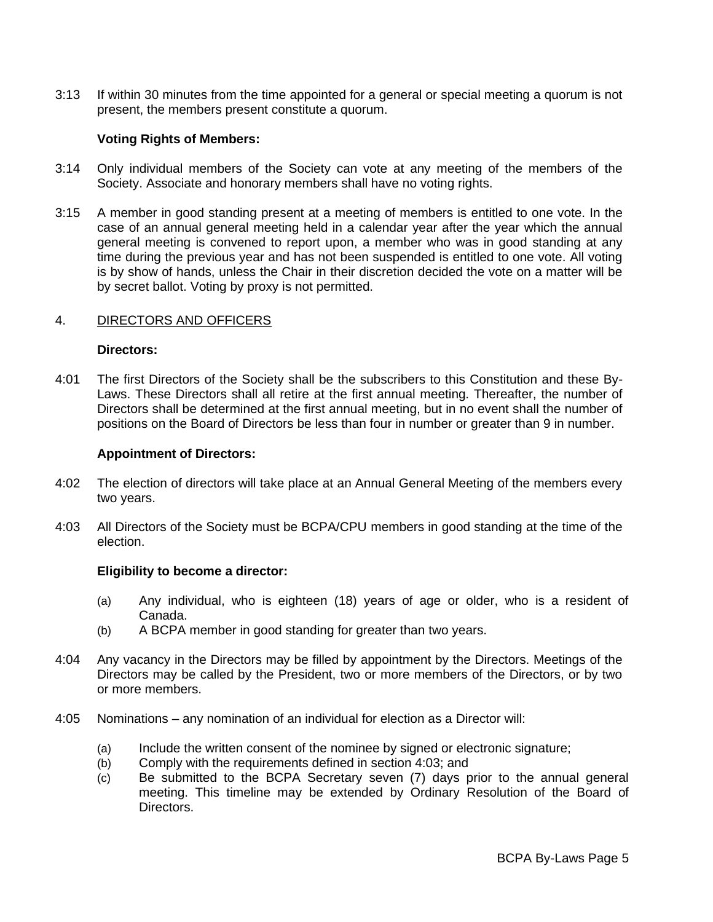3:13 If within 30 minutes from the time appointed for a general or special meeting a quorum is not present, the members present constitute a quorum.

#### **Voting Rights of Members:**

- 3:14 Only individual members of the Society can vote at any meeting of the members of the Society. Associate and honorary members shall have no voting rights.
- 3:15 A member in good standing present at a meeting of members is entitled to one vote. In the case of an annual general meeting held in a calendar year after the year which the annual general meeting is convened to report upon, a member who was in good standing at any time during the previous year and has not been suspended is entitled to one vote. All voting is by show of hands, unless the Chair in their discretion decided the vote on a matter will be by secret ballot. Voting by proxy is not permitted.

#### 4. DIRECTORS AND OFFICERS

#### **Directors:**

4:01 The first Directors of the Society shall be the subscribers to this Constitution and these By-Laws. These Directors shall all retire at the first annual meeting. Thereafter, the number of Directors shall be determined at the first annual meeting, but in no event shall the number of positions on the Board of Directors be less than four in number or greater than 9 in number.

#### **Appointment of Directors:**

- 4:02 The election of directors will take place at an Annual General Meeting of the members every two years.
- 4:03 All Directors of the Society must be BCPA/CPU members in good standing at the time of the election.

#### **Eligibility to become a director:**

- (a) Any individual, who is eighteen (18) years of age or older, who is a resident of Canada.
- (b) A BCPA member in good standing for greater than two years.
- 4:04 Any vacancy in the Directors may be filled by appointment by the Directors. Meetings of the Directors may be called by the President, two or more members of the Directors, or by two or more members.
- 4:05 Nominations any nomination of an individual for election as a Director will:
	- (a) Include the written consent of the nominee by signed or electronic signature;
	- (b) Comply with the requirements defined in section 4:03; and
	- (c) Be submitted to the BCPA Secretary seven (7) days prior to the annual general meeting. This timeline may be extended by Ordinary Resolution of the Board of Directors.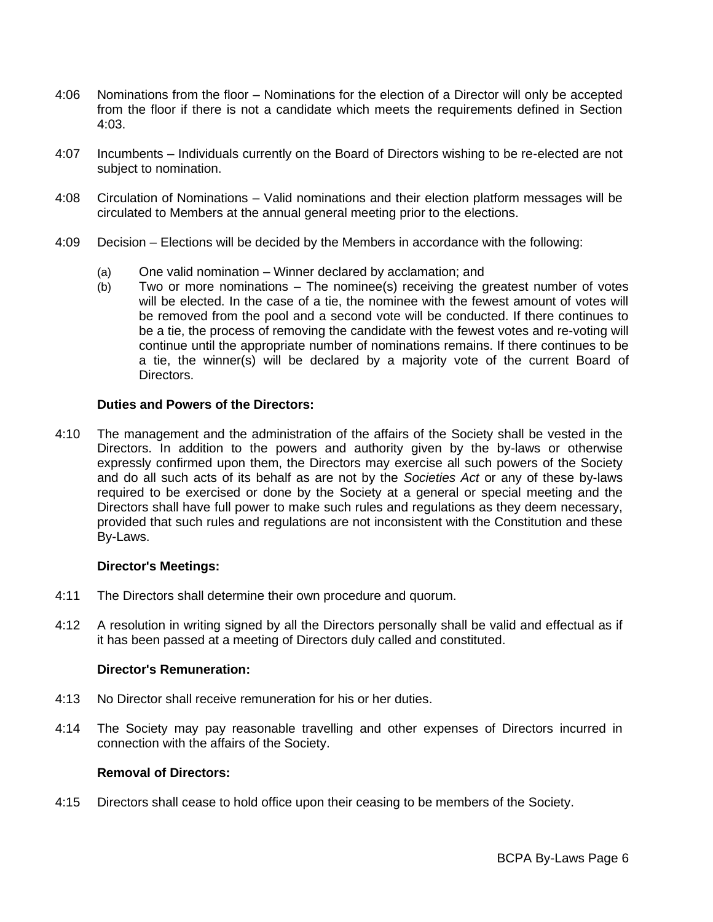- 4:06 Nominations from the floor Nominations for the election of a Director will only be accepted from the floor if there is not a candidate which meets the requirements defined in Section 4:03.
- 4:07 Incumbents Individuals currently on the Board of Directors wishing to be re-elected are not subject to nomination.
- 4:08 Circulation of Nominations Valid nominations and their election platform messages will be circulated to Members at the annual general meeting prior to the elections.
- 4:09 Decision Elections will be decided by the Members in accordance with the following:
	- (a) One valid nomination Winner declared by acclamation; and
	- (b) Two or more nominations The nominee(s) receiving the greatest number of votes will be elected. In the case of a tie, the nominee with the fewest amount of votes will be removed from the pool and a second vote will be conducted. If there continues to be a tie, the process of removing the candidate with the fewest votes and re-voting will continue until the appropriate number of nominations remains. If there continues to be a tie, the winner(s) will be declared by a majority vote of the current Board of Directors.

## **Duties and Powers of the Directors:**

4:10 The management and the administration of the affairs of the Society shall be vested in the Directors. In addition to the powers and authority given by the by-laws or otherwise expressly confirmed upon them, the Directors may exercise all such powers of the Society and do all such acts of its behalf as are not by the *Societies Act* or any of these by-laws required to be exercised or done by the Society at a general or special meeting and the Directors shall have full power to make such rules and regulations as they deem necessary, provided that such rules and regulations are not inconsistent with the Constitution and these By-Laws.

#### **Director's Meetings:**

- 4:11 The Directors shall determine their own procedure and quorum.
- 4:12 A resolution in writing signed by all the Directors personally shall be valid and effectual as if it has been passed at a meeting of Directors duly called and constituted.

## **Director's Remuneration:**

- 4:13 No Director shall receive remuneration for his or her duties.
- 4:14 The Society may pay reasonable travelling and other expenses of Directors incurred in connection with the affairs of the Society.

#### **Removal of Directors:**

4:15 Directors shall cease to hold office upon their ceasing to be members of the Society.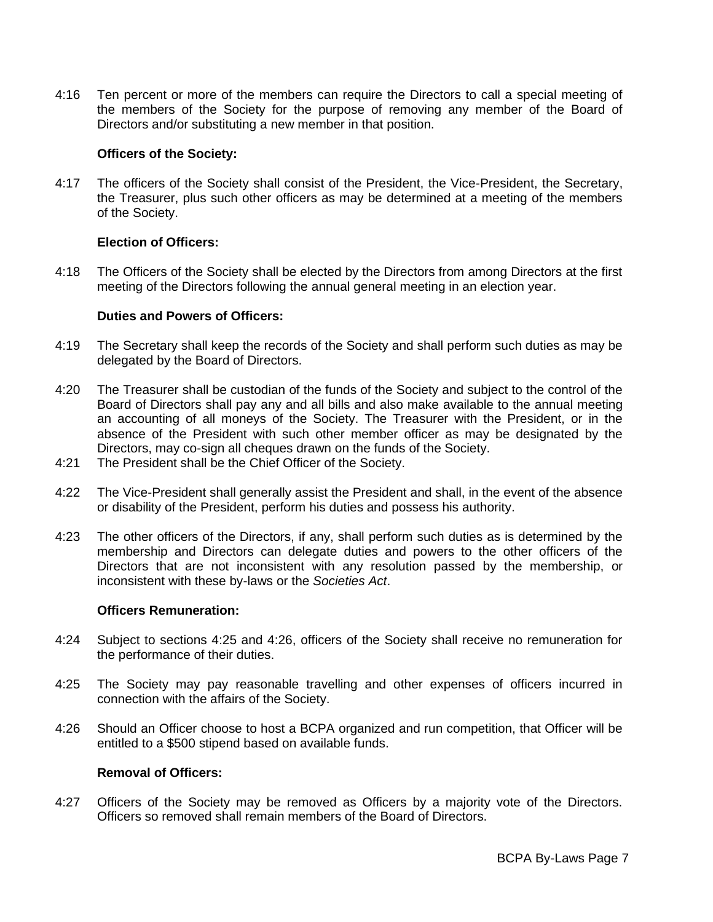4:16 Ten percent or more of the members can require the Directors to call a special meeting of the members of the Society for the purpose of removing any member of the Board of Directors and/or substituting a new member in that position.

## **Officers of the Society:**

4:17 The officers of the Society shall consist of the President, the Vice-President, the Secretary, the Treasurer, plus such other officers as may be determined at a meeting of the members of the Society.

# **Election of Officers:**

4:18 The Officers of the Society shall be elected by the Directors from among Directors at the first meeting of the Directors following the annual general meeting in an election year.

# **Duties and Powers of Officers:**

- 4:19 The Secretary shall keep the records of the Society and shall perform such duties as may be delegated by the Board of Directors.
- 4:20 The Treasurer shall be custodian of the funds of the Society and subject to the control of the Board of Directors shall pay any and all bills and also make available to the annual meeting an accounting of all moneys of the Society. The Treasurer with the President, or in the absence of the President with such other member officer as may be designated by the Directors, may co-sign all cheques drawn on the funds of the Society.
- 4:21 The President shall be the Chief Officer of the Society.
- 4:22 The Vice-President shall generally assist the President and shall, in the event of the absence or disability of the President, perform his duties and possess his authority.
- 4:23 The other officers of the Directors, if any, shall perform such duties as is determined by the membership and Directors can delegate duties and powers to the other officers of the Directors that are not inconsistent with any resolution passed by the membership, or inconsistent with these by-laws or the *Societies Act*.

# **Officers Remuneration:**

- 4:24 Subject to sections 4:25 and 4:26, officers of the Society shall receive no remuneration for the performance of their duties.
- 4:25 The Society may pay reasonable travelling and other expenses of officers incurred in connection with the affairs of the Society.
- 4:26 Should an Officer choose to host a BCPA organized and run competition, that Officer will be entitled to a \$500 stipend based on available funds.

## **Removal of Officers:**

4:27 Officers of the Society may be removed as Officers by a majority vote of the Directors. Officers so removed shall remain members of the Board of Directors.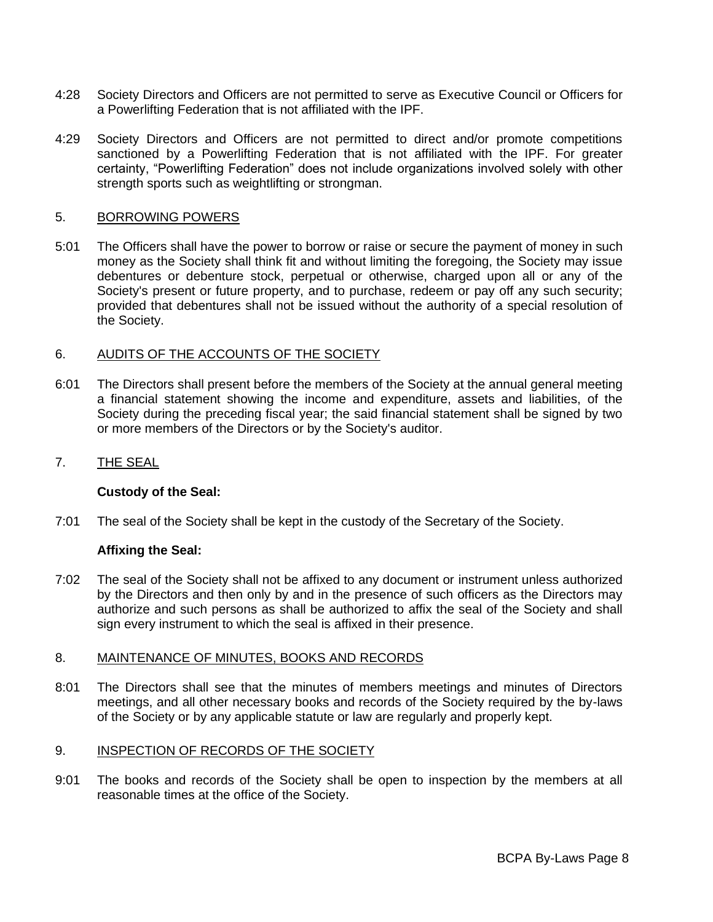- 4:28 Society Directors and Officers are not permitted to serve as Executive Council or Officers for a Powerlifting Federation that is not affiliated with the IPF.
- 4:29 Society Directors and Officers are not permitted to direct and/or promote competitions sanctioned by a Powerlifting Federation that is not affiliated with the IPF. For greater certainty, "Powerlifting Federation" does not include organizations involved solely with other strength sports such as weightlifting or strongman.

#### 5. BORROWING POWERS

5:01 The Officers shall have the power to borrow or raise or secure the payment of money in such money as the Society shall think fit and without limiting the foregoing, the Society may issue debentures or debenture stock, perpetual or otherwise, charged upon all or any of the Society's present or future property, and to purchase, redeem or pay off any such security; provided that debentures shall not be issued without the authority of a special resolution of the Society.

#### 6. AUDITS OF THE ACCOUNTS OF THE SOCIETY

- 6:01 The Directors shall present before the members of the Society at the annual general meeting a financial statement showing the income and expenditure, assets and liabilities, of the Society during the preceding fiscal year; the said financial statement shall be signed by two or more members of the Directors or by the Society's auditor.
- 7. THE SEAL

#### **Custody of the Seal:**

7:01 The seal of the Society shall be kept in the custody of the Secretary of the Society.

#### **Affixing the Seal:**

7:02 The seal of the Society shall not be affixed to any document or instrument unless authorized by the Directors and then only by and in the presence of such officers as the Directors may authorize and such persons as shall be authorized to affix the seal of the Society and shall sign every instrument to which the seal is affixed in their presence.

#### 8. MAINTENANCE OF MINUTES, BOOKS AND RECORDS

8:01 The Directors shall see that the minutes of members meetings and minutes of Directors meetings, and all other necessary books and records of the Society required by the by-laws of the Society or by any applicable statute or law are regularly and properly kept.

#### 9. INSPECTION OF RECORDS OF THE SOCIETY

9:01 The books and records of the Society shall be open to inspection by the members at all reasonable times at the office of the Society.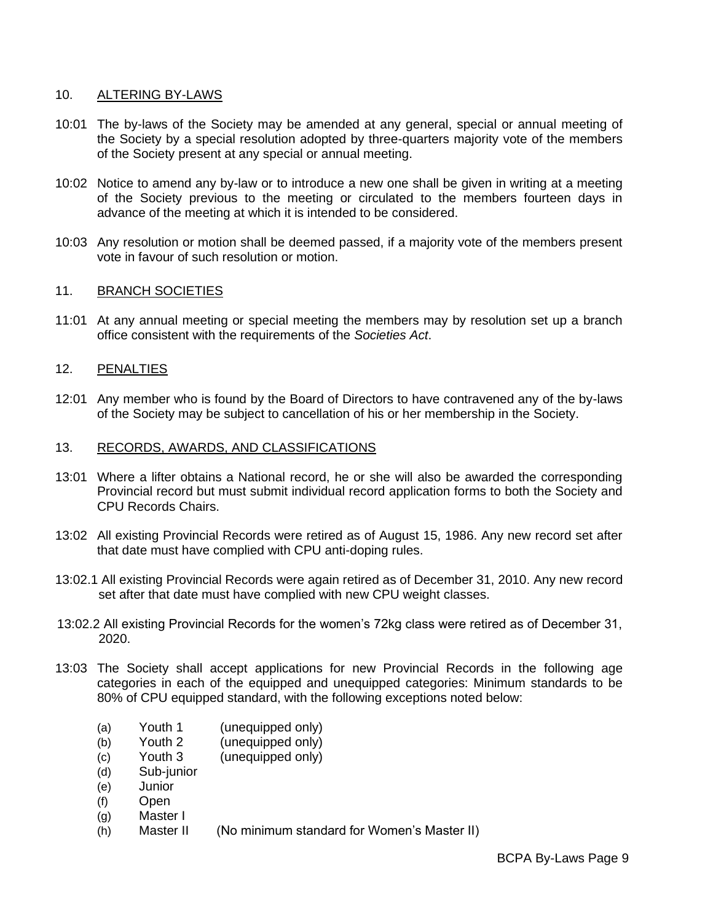## 10. ALTERING BY-LAWS

- 10:01 The by-laws of the Society may be amended at any general, special or annual meeting of the Society by a special resolution adopted by three-quarters majority vote of the members of the Society present at any special or annual meeting.
- 10:02 Notice to amend any by-law or to introduce a new one shall be given in writing at a meeting of the Society previous to the meeting or circulated to the members fourteen days in advance of the meeting at which it is intended to be considered.
- 10:03 Any resolution or motion shall be deemed passed, if a majority vote of the members present vote in favour of such resolution or motion.

# 11. BRANCH SOCIETIES

11:01 At any annual meeting or special meeting the members may by resolution set up a branch office consistent with the requirements of the *Societies Act*.

# 12. PENALTIES

12:01 Any member who is found by the Board of Directors to have contravened any of the by-laws of the Society may be subject to cancellation of his or her membership in the Society.

## 13. RECORDS, AWARDS, AND CLASSIFICATIONS

- 13:01 Where a lifter obtains a National record, he or she will also be awarded the corresponding Provincial record but must submit individual record application forms to both the Society and CPU Records Chairs.
- 13:02 All existing Provincial Records were retired as of August 15, 1986. Any new record set after that date must have complied with CPU anti-doping rules.
- 13:02.1 All existing Provincial Records were again retired as of December 31, 2010. Any new record set after that date must have complied with new CPU weight classes.
- 13:02.2 All existing Provincial Records for the women's 72kg class were retired as of December 31, 2020.
- 13:03 The Society shall accept applications for new Provincial Records in the following age categories in each of the equipped and unequipped categories: Minimum standards to be 80% of CPU equipped standard, with the following exceptions noted below:
	- (a) Youth 1 (unequipped only)
	- (b) Youth 2 (unequipped only)
	- (c) Youth 3 (unequipped only)
	- (d) Sub-junior
	- (e) Junior
	- (f) Open
	- (g) Master I
	- (h) Master II (No minimum standard for Women's Master II)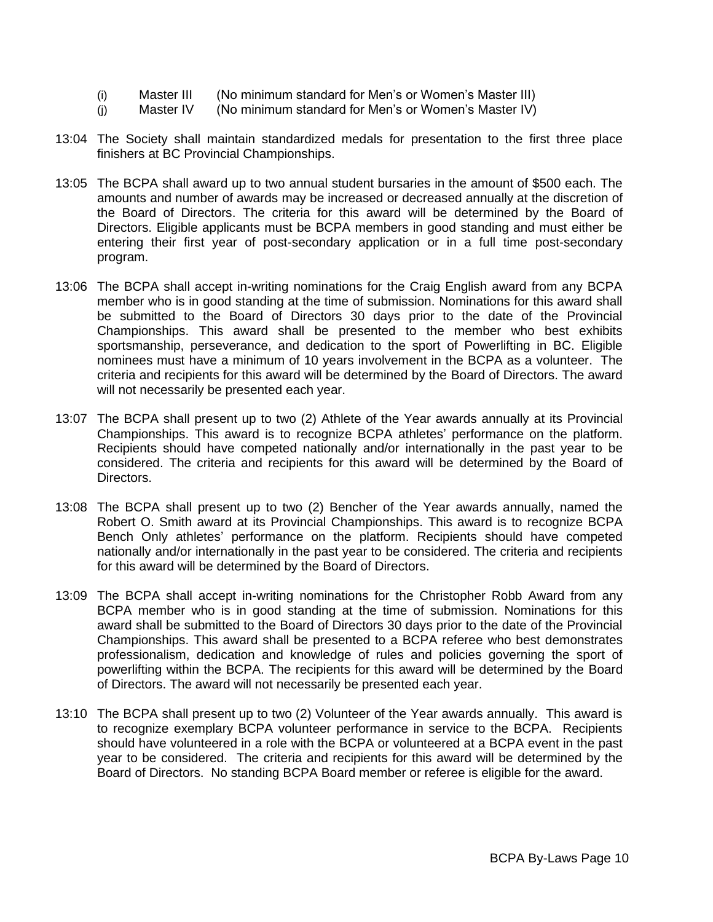- (i) Master III (No minimum standard for Men's or Women's Master III)
- (j) Master IV (No minimum standard for Men's or Women's Master IV)
- 13:04 The Society shall maintain standardized medals for presentation to the first three place finishers at BC Provincial Championships.
- 13:05 The BCPA shall award up to two annual student bursaries in the amount of \$500 each. The amounts and number of awards may be increased or decreased annually at the discretion of the Board of Directors. The criteria for this award will be determined by the Board of Directors. Eligible applicants must be BCPA members in good standing and must either be entering their first year of post-secondary application or in a full time post-secondary program.
- 13:06 The BCPA shall accept in-writing nominations for the Craig English award from any BCPA member who is in good standing at the time of submission. Nominations for this award shall be submitted to the Board of Directors 30 days prior to the date of the Provincial Championships. This award shall be presented to the member who best exhibits sportsmanship, perseverance, and dedication to the sport of Powerlifting in BC. Eligible nominees must have a minimum of 10 years involvement in the BCPA as a volunteer. The criteria and recipients for this award will be determined by the Board of Directors. The award will not necessarily be presented each year.
- 13:07 The BCPA shall present up to two (2) Athlete of the Year awards annually at its Provincial Championships. This award is to recognize BCPA athletes' performance on the platform. Recipients should have competed nationally and/or internationally in the past year to be considered. The criteria and recipients for this award will be determined by the Board of Directors.
- 13:08 The BCPA shall present up to two (2) Bencher of the Year awards annually, named the Robert O. Smith award at its Provincial Championships. This award is to recognize BCPA Bench Only athletes' performance on the platform. Recipients should have competed nationally and/or internationally in the past year to be considered. The criteria and recipients for this award will be determined by the Board of Directors.
- 13:09 The BCPA shall accept in-writing nominations for the Christopher Robb Award from any BCPA member who is in good standing at the time of submission. Nominations for this award shall be submitted to the Board of Directors 30 days prior to the date of the Provincial Championships. This award shall be presented to a BCPA referee who best demonstrates professionalism, dedication and knowledge of rules and policies governing the sport of powerlifting within the BCPA. The recipients for this award will be determined by the Board of Directors. The award will not necessarily be presented each year.
- 13:10 The BCPA shall present up to two (2) Volunteer of the Year awards annually. This award is to recognize exemplary BCPA volunteer performance in service to the BCPA. Recipients should have volunteered in a role with the BCPA or volunteered at a BCPA event in the past year to be considered. The criteria and recipients for this award will be determined by the Board of Directors. No standing BCPA Board member or referee is eligible for the award.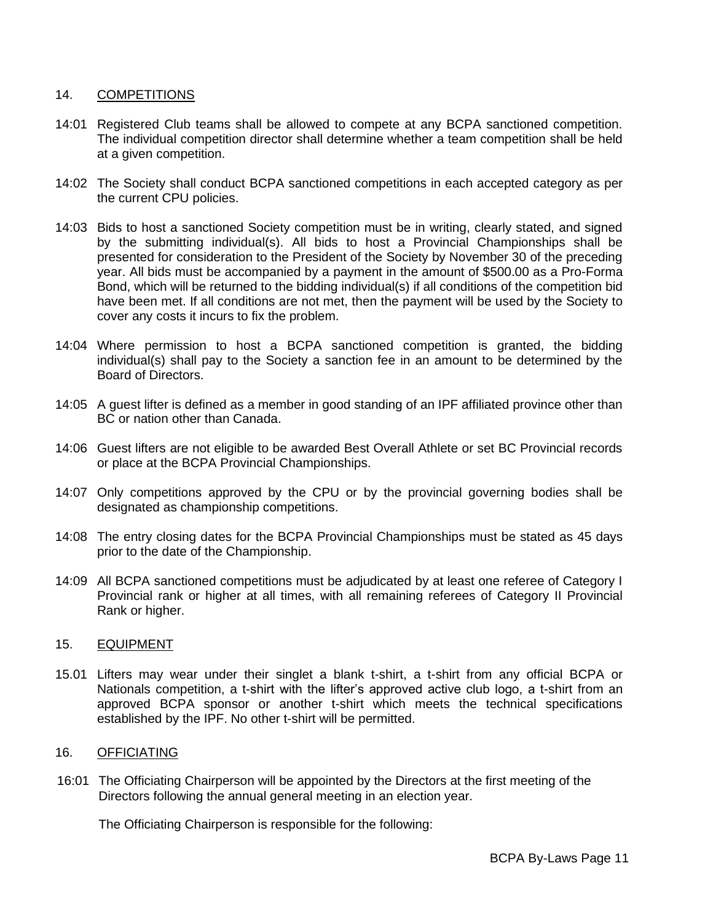# 14. COMPETITIONS

- 14:01 Registered Club teams shall be allowed to compete at any BCPA sanctioned competition. The individual competition director shall determine whether a team competition shall be held at a given competition.
- 14:02 The Society shall conduct BCPA sanctioned competitions in each accepted category as per the current CPU policies.
- 14:03 Bids to host a sanctioned Society competition must be in writing, clearly stated, and signed by the submitting individual(s). All bids to host a Provincial Championships shall be presented for consideration to the President of the Society by November 30 of the preceding year. All bids must be accompanied by a payment in the amount of \$500.00 as a Pro-Forma Bond, which will be returned to the bidding individual(s) if all conditions of the competition bid have been met. If all conditions are not met, then the payment will be used by the Society to cover any costs it incurs to fix the problem.
- 14:04 Where permission to host a BCPA sanctioned competition is granted, the bidding individual(s) shall pay to the Society a sanction fee in an amount to be determined by the Board of Directors.
- 14:05 A guest lifter is defined as a member in good standing of an IPF affiliated province other than BC or nation other than Canada.
- 14:06 Guest lifters are not eligible to be awarded Best Overall Athlete or set BC Provincial records or place at the BCPA Provincial Championships.
- 14:07 Only competitions approved by the CPU or by the provincial governing bodies shall be designated as championship competitions.
- 14:08 The entry closing dates for the BCPA Provincial Championships must be stated as 45 days prior to the date of the Championship.
- 14:09 All BCPA sanctioned competitions must be adjudicated by at least one referee of Category I Provincial rank or higher at all times, with all remaining referees of Category II Provincial Rank or higher.

## 15. EQUIPMENT

15.01 Lifters may wear under their singlet a blank t-shirt, a t-shirt from any official BCPA or Nationals competition, a t-shirt with the lifter's approved active club logo, a t-shirt from an approved BCPA sponsor or another t-shirt which meets the technical specifications established by the IPF. No other t-shirt will be permitted.

## 16. OFFICIATING

16:01 The Officiating Chairperson will be appointed by the Directors at the first meeting of the Directors following the annual general meeting in an election year.

The Officiating Chairperson is responsible for the following: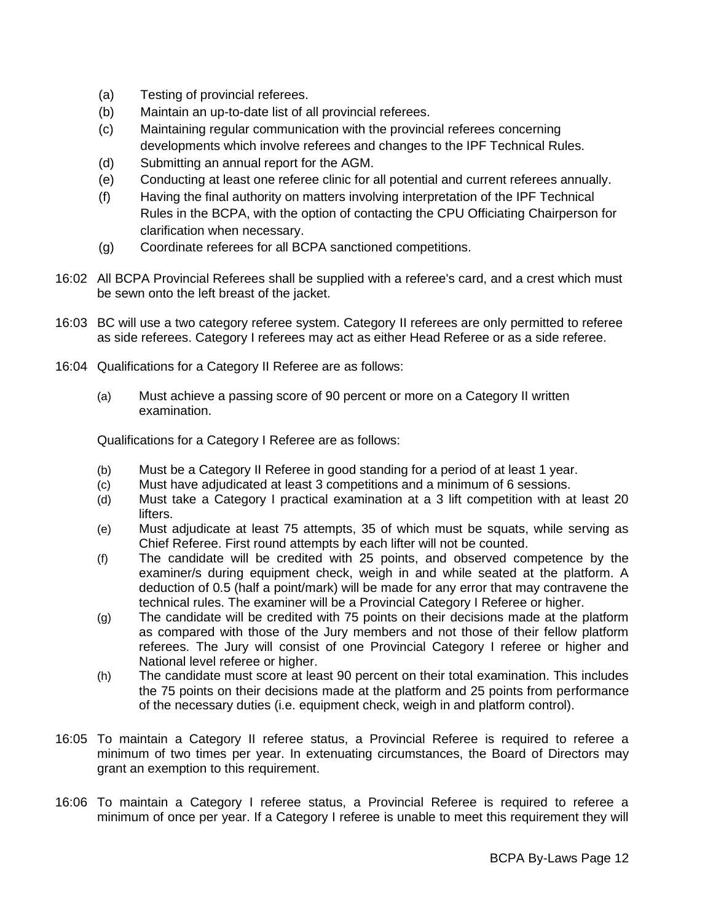- (a) Testing of provincial referees.
- (b) Maintain an up-to-date list of all provincial referees.
- (c) Maintaining regular communication with the provincial referees concerning developments which involve referees and changes to the IPF Technical Rules.
- (d) Submitting an annual report for the AGM.
- (e) Conducting at least one referee clinic for all potential and current referees annually.
- (f) Having the final authority on matters involving interpretation of the IPF Technical Rules in the BCPA, with the option of contacting the CPU Officiating Chairperson for clarification when necessary.
- (g) Coordinate referees for all BCPA sanctioned competitions.
- 16:02 All BCPA Provincial Referees shall be supplied with a referee's card, and a crest which must be sewn onto the left breast of the jacket.
- 16:03 BC will use a two category referee system. Category II referees are only permitted to referee as side referees. Category I referees may act as either Head Referee or as a side referee.
- 16:04 Qualifications for a Category II Referee are as follows:
	- (a) Must achieve a passing score of 90 percent or more on a Category II written examination.

Qualifications for a Category I Referee are as follows:

- (b) Must be a Category II Referee in good standing for a period of at least 1 year.
- (c) Must have adjudicated at least 3 competitions and a minimum of 6 sessions.
- (d) Must take a Category I practical examination at a 3 lift competition with at least 20 lifters.
- (e) Must adjudicate at least 75 attempts, 35 of which must be squats, while serving as Chief Referee. First round attempts by each lifter will not be counted.
- (f) The candidate will be credited with 25 points, and observed competence by the examiner/s during equipment check, weigh in and while seated at the platform. A deduction of 0.5 (half a point/mark) will be made for any error that may contravene the technical rules. The examiner will be a Provincial Category I Referee or higher.
- (g) The candidate will be credited with 75 points on their decisions made at the platform as compared with those of the Jury members and not those of their fellow platform referees. The Jury will consist of one Provincial Category I referee or higher and National level referee or higher.
- (h) The candidate must score at least 90 percent on their total examination. This includes the 75 points on their decisions made at the platform and 25 points from performance of the necessary duties (i.e. equipment check, weigh in and platform control).
- 16:05 To maintain a Category II referee status, a Provincial Referee is required to referee a minimum of two times per year. In extenuating circumstances, the Board of Directors may grant an exemption to this requirement.
- 16:06 To maintain a Category I referee status, a Provincial Referee is required to referee a minimum of once per year. If a Category I referee is unable to meet this requirement they will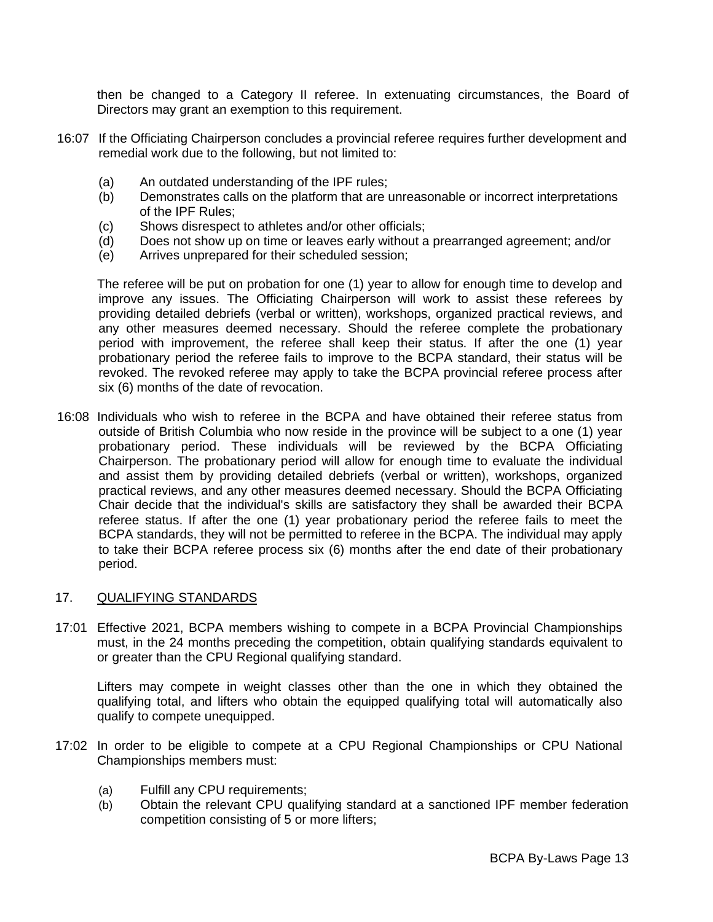then be changed to a Category II referee. In extenuating circumstances, the Board of Directors may grant an exemption to this requirement.

- 16:07 If the Officiating Chairperson concludes a provincial referee requires further development and remedial work due to the following, but not limited to:
	- (a) An outdated understanding of the IPF rules;
	- (b) Demonstrates calls on the platform that are unreasonable or incorrect interpretations of the IPF Rules;
	- (c) Shows disrespect to athletes and/or other officials;
	- (d) Does not show up on time or leaves early without a prearranged agreement; and/or
	- (e) Arrives unprepared for their scheduled session;

The referee will be put on probation for one (1) year to allow for enough time to develop and improve any issues. The Officiating Chairperson will work to assist these referees by providing detailed debriefs (verbal or written), workshops, organized practical reviews, and any other measures deemed necessary. Should the referee complete the probationary period with improvement, the referee shall keep their status. If after the one (1) year probationary period the referee fails to improve to the BCPA standard, their status will be revoked. The revoked referee may apply to take the BCPA provincial referee process after six (6) months of the date of revocation.

16:08 Individuals who wish to referee in the BCPA and have obtained their referee status from outside of British Columbia who now reside in the province will be subject to a one (1) year probationary period. These individuals will be reviewed by the BCPA Officiating Chairperson. The probationary period will allow for enough time to evaluate the individual and assist them by providing detailed debriefs (verbal or written), workshops, organized practical reviews, and any other measures deemed necessary. Should the BCPA Officiating Chair decide that the individual's skills are satisfactory they shall be awarded their BCPA referee status. If after the one (1) year probationary period the referee fails to meet the BCPA standards, they will not be permitted to referee in the BCPA. The individual may apply to take their BCPA referee process six (6) months after the end date of their probationary period.

## 17. QUALIFYING STANDARDS

17:01 Effective 2021, BCPA members wishing to compete in a BCPA Provincial Championships must, in the 24 months preceding the competition, obtain qualifying standards equivalent to or greater than the CPU Regional qualifying standard.

Lifters may compete in weight classes other than the one in which they obtained the qualifying total, and lifters who obtain the equipped qualifying total will automatically also qualify to compete unequipped.

- 17:02 In order to be eligible to compete at a CPU Regional Championships or CPU National Championships members must:
	- (a) Fulfill any CPU requirements;
	- (b) Obtain the relevant CPU qualifying standard at a sanctioned IPF member federation competition consisting of 5 or more lifters;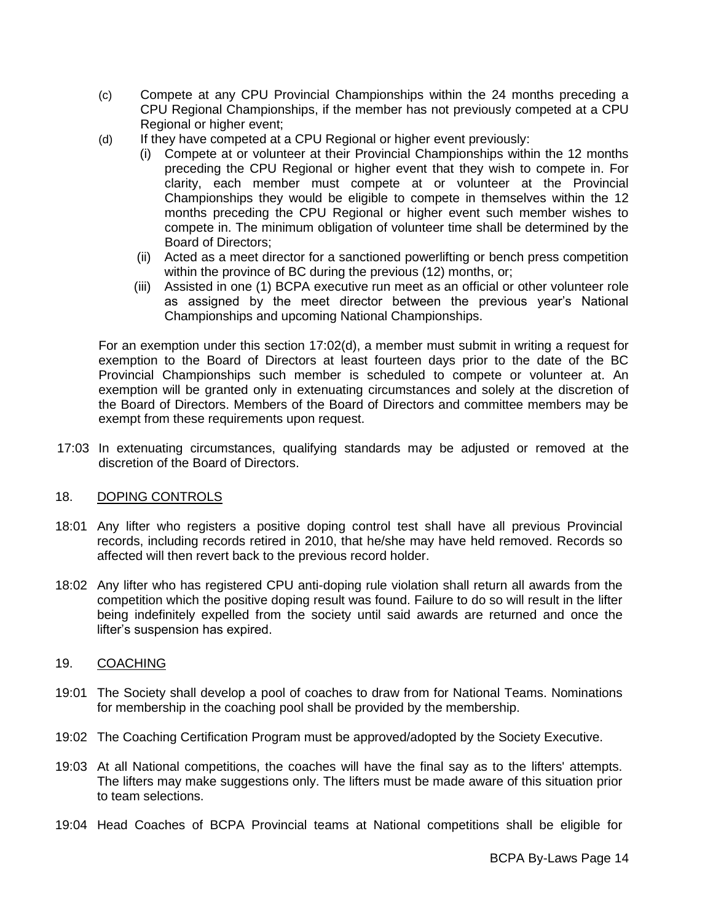- (c) Compete at any CPU Provincial Championships within the 24 months preceding a CPU Regional Championships, if the member has not previously competed at a CPU Regional or higher event;
- (d) If they have competed at a CPU Regional or higher event previously:
	- (i) Compete at or volunteer at their Provincial Championships within the 12 months preceding the CPU Regional or higher event that they wish to compete in. For clarity, each member must compete at or volunteer at the Provincial Championships they would be eligible to compete in themselves within the 12 months preceding the CPU Regional or higher event such member wishes to compete in. The minimum obligation of volunteer time shall be determined by the Board of Directors;
	- (ii) Acted as a meet director for a sanctioned powerlifting or bench press competition within the province of BC during the previous (12) months, or;
	- (iii) Assisted in one (1) BCPA executive run meet as an official or other volunteer role as assigned by the meet director between the previous year's National Championships and upcoming National Championships.

For an exemption under this section 17:02(d), a member must submit in writing a request for exemption to the Board of Directors at least fourteen days prior to the date of the BC Provincial Championships such member is scheduled to compete or volunteer at. An exemption will be granted only in extenuating circumstances and solely at the discretion of the Board of Directors. Members of the Board of Directors and committee members may be exempt from these requirements upon request.

17:03 In extenuating circumstances, qualifying standards may be adjusted or removed at the discretion of the Board of Directors.

## 18. DOPING CONTROLS

- 18:01 Any lifter who registers a positive doping control test shall have all previous Provincial records, including records retired in 2010, that he/she may have held removed. Records so affected will then revert back to the previous record holder.
- 18:02 Any lifter who has registered CPU anti-doping rule violation shall return all awards from the competition which the positive doping result was found. Failure to do so will result in the lifter being indefinitely expelled from the society until said awards are returned and once the lifter's suspension has expired.

## 19. COACHING

- 19:01 The Society shall develop a pool of coaches to draw from for National Teams. Nominations for membership in the coaching pool shall be provided by the membership.
- 19:02 The Coaching Certification Program must be approved/adopted by the Society Executive.
- 19:03 At all National competitions, the coaches will have the final say as to the lifters' attempts. The lifters may make suggestions only. The lifters must be made aware of this situation prior to team selections.
- 19:04 Head Coaches of BCPA Provincial teams at National competitions shall be eligible for